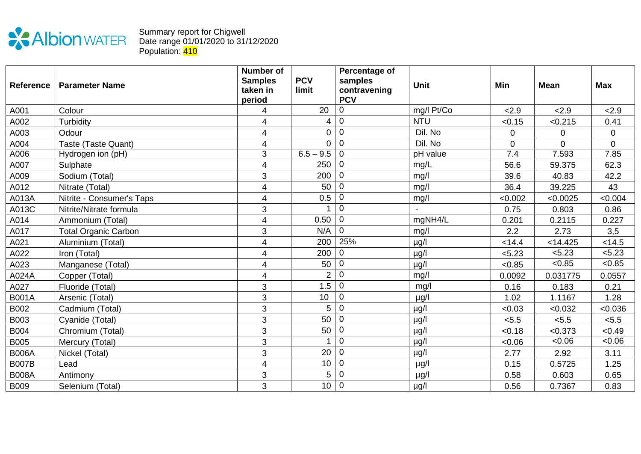

## Summary report for Chigwell Date range 01/01/2020 to 31/12/2020 Population: <mark>410</mark>

| <b>Reference</b> | <b>Parameter Name</b>       | <b>Number of</b><br><b>Samples</b><br>taken in<br>period | <b>PCV</b><br>limit | Percentage of<br>samples<br>contravening<br><b>PCV</b> | <b>Unit</b> | Min         | <b>Mean</b>    | <b>Max</b>  |
|------------------|-----------------------------|----------------------------------------------------------|---------------------|--------------------------------------------------------|-------------|-------------|----------------|-------------|
| A001             | Colour                      | 4                                                        | 20                  | $\mathbf 0$                                            | mg/l Pt/Co  | 2.9         | 2.9            | 2.9         |
| A002             | Turbidity                   | 4                                                        | 4                   | $\mathbf 0$                                            | <b>NTU</b>  | < 0.15      | < 0.215        | 0.41        |
| A003             | Odour                       | 4                                                        | 0                   | $\mathbf 0$                                            | Dil. No     | $\mathbf 0$ | 0              | $\mathbf 0$ |
| A004             | Taste (Taste Quant)         | 4                                                        | $\mathbf 0$         | $\mathbf 0$                                            | Dil. No     | $\pmb{0}$   | $\overline{0}$ | $\mathbf 0$ |
| A006             | Hydrogen ion (pH)           | 3                                                        | $6.5 - 9.5$         | $\overline{0}$                                         | pH value    | 7.4         | 7.593          | 7.85        |
| A007             | Sulphate                    | 4                                                        | 250                 | $\overline{0}$                                         | mg/L        | 56.6        | 59.375         | 62.3        |
| A009             | Sodium (Total)              | 3                                                        | 200                 | $\Omega$                                               | mg/l        | 39.6        | 40.83          | 42.2        |
| A012             | Nitrate (Total)             | 4                                                        | 50                  | $\overline{0}$                                         | mg/l        | 36.4        | 39.225         | 43          |
| A013A            | Nitrite - Consumer's Taps   | 4                                                        | 0.5                 | 0                                                      | mg/l        | < 0.002     | < 0.0025       | < 0.004     |
| A013C            | Nitrite/Nitrate formula     | 3                                                        |                     | $\overline{0}$                                         |             | 0.75        | 0.803          | 0.86        |
| A014             | Ammonium (Total)            | 4                                                        | 0.50                | $\mathbf 0$                                            | mgNH4/L     | 0.201       | 0.2115         | 0.227       |
| A017             | <b>Total Organic Carbon</b> | $\sqrt{3}$                                               | N/A                 | $\mathbf 0$                                            | mg/l        | 2.2         | 2.73           | 3,5         |
| A021             | Aluminium (Total)           | 4                                                        | 200                 | 25%                                                    | $\mu$ g/l   | < 14.4      | < 14.425       | < 14.5      |
| A022             | Iron (Total)                | 4                                                        | 200                 | $\overline{0}$                                         | $\mu$ g/l   | < 5.23      | < 5.23         | < 5.23      |
| A023             | Manganese (Total)           | 4                                                        | 50                  | $\mathbf 0$                                            | $\mu$ g/l   | < 0.85      | < 0.85         | < 0.85      |
| A024A            | Copper (Total)              | 4                                                        | $\overline{2}$      | $\mathbf 0$                                            | mg/l        | 0.0092      | 0.031775       | 0.0557      |
| A027             | Fluoride (Total)            | 3                                                        | 1.5                 | $\mathbf 0$                                            | mg/l        | 0.16        | 0.183          | 0.21        |
| <b>B001A</b>     | Arsenic (Total)             | $\mathbf{3}$                                             | 10                  | $\mathbf 0$                                            | $\mu$ g/l   | 1.02        | 1.1167         | 1.28        |
| B002             | Cadmium (Total)             | 3                                                        | 5                   | $\mathbf 0$                                            | $\mu$ g/l   | &0.03       | < 0.032        | < 0.036     |
| B003             | Cyanide (Total)             | 3                                                        | 50                  | $\overline{0}$                                         | $\mu$ g/l   | < 5.5       | < 5.5          | < 5.5       |
| <b>B004</b>      | Chromium (Total)            | 3                                                        | 50                  | $\mathbf 0$                                            | $\mu$ g/l   | < 0.18      | < 0.373        | < 0.49      |
| <b>B005</b>      | Mercury (Total)             | 3                                                        |                     | $\overline{0}$                                         | $\mu$ g/l   | <0.06       | <0.06          | <0.06       |
| <b>B006A</b>     | Nickel (Total)              | 3                                                        | 20                  | $\mathbf 0$                                            | $\mu$ g/l   | 2.77        | 2.92           | 3.11        |
| <b>B007B</b>     | Lead                        | $\overline{4}$                                           | 10                  | $\mathbf 0$                                            | µg/l        | 0.15        | 0.5725         | 1.25        |
| <b>B008A</b>     | Antimony                    | 3                                                        | 5                   | $\mathbf 0$                                            | $\mu$ g/l   | 0.58        | 0.603          | 0.65        |
| <b>B009</b>      | Selenium (Total)            | 3                                                        | 10                  | $\mathbf 0$                                            | $\mu$ g/l   | 0.56        | 0.7367         | 0.83        |